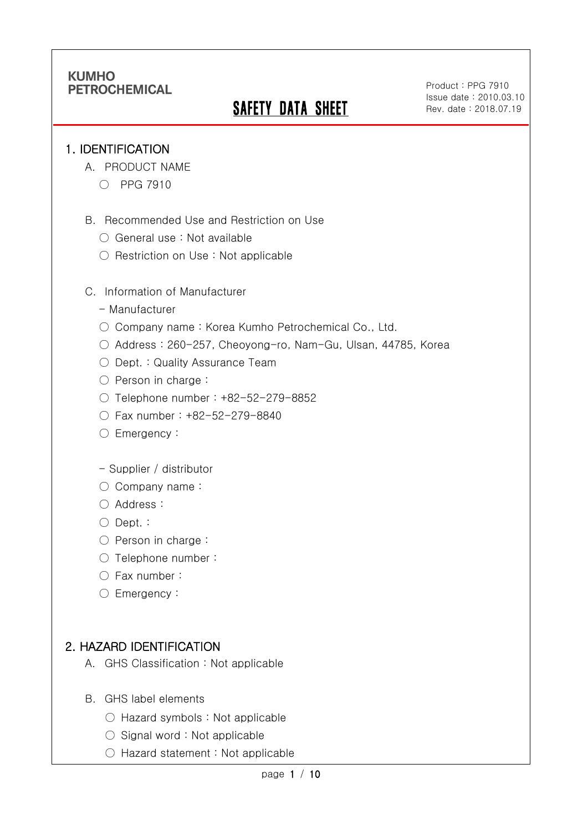# **SAFETY DATA SHEET**

Product : PPG 7910 Issue date : 2010.03.10 Rev. date : 2018.07.19

.

#### 1. IDENTIFICATION

Ī

- A. PRODUCT NAME
	- PPG 7910
- B. Recommended Use and Restriction on Use
	- General use : Not available
	- Restriction on Use : Not applicable
- C. Information of Manufacturer
	- Manufacturer
	- Company name: Korea Kumho Petrochemical Co., Ltd.
	- Address : 260-257, Cheoyong-ro, Nam-Gu, Ulsan, 44785, Korea
	- Dept. : Quality Assurance Team
	- Person in charge :
	- Telephone number : +82-52-279-8852
	- Fax number : +82-52-279-8840
	- Emergency:
	- Supplier / distributor
	- Company name:
	- Address :
	- Dept. :
	- Person in charge :
	- Telephone number :
	- Fax number :
	- Emergency:

### 2. HAZARD IDENTIFICATION

- A. GHS Classification : Not applicable
- B. GHS label elements
	- Hazard symbols : Not applicable
	- Signal word : Not applicable
	- Hazard statement : Not applicable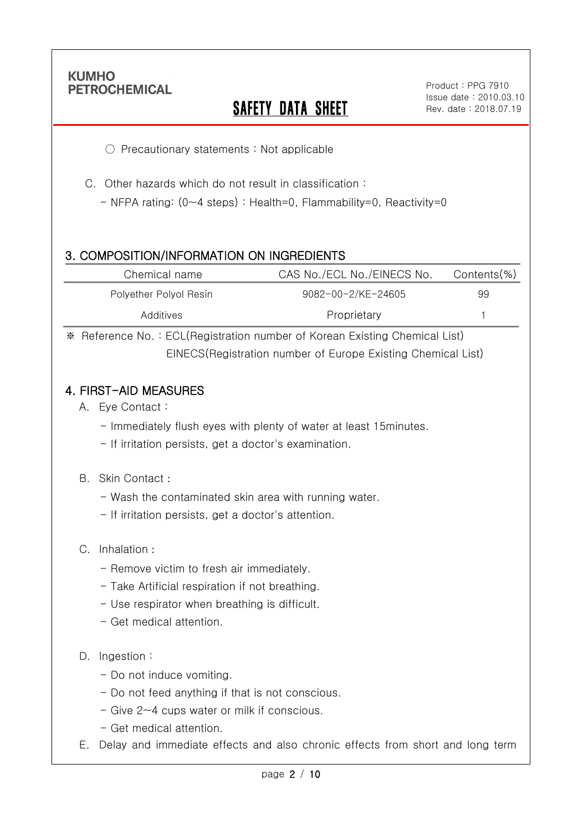Ī

# **SAFETY DATA SHEET**

.

○ Precautionary statements : Not applicable

C. Other hazards which do not result in classification :

- NFPA rating: (0~4 steps) : Health=0, Flammability=0, Reactivity=0

### 3. COMPOSITION/INFORMATION ON INGREDIENTS

| Chemical name          | CAS No./ECL No./EINECS No. | Contents(%) |
|------------------------|----------------------------|-------------|
| Polyether Polyol Resin | 9082-00-2/KE-24605         | 99          |
| Additives              | Proprietary                |             |

※ Reference No. : ECL(Registration number of Korean Existing Chemical List) EINECS(Registration number of Europe Existing Chemical List)

#### 4. FIRST-AID MEASURES

- A. Eye Contact :
	- Immediately flush eyes with plenty of water at least 15minutes.
	- If irritation persists, get a doctor's examination.

#### B. Skin Contact :

- Wash the contaminated skin area with running water.
- If irritation persists, get a doctor's attention.

#### C. Inhalation :

- Remove victim to fresh air immediately.
- Take Artificial respiration if not breathing.
- Use respirator when breathing is difficult.
- Get medical attention.

#### D. Ingestion:

- Do not induce vomiting.
- Do not feed anything if that is not conscious.
- Give 2~4 cups water or milk if conscious.
- Get medical attention.
- E. Delay and immediate effects and also chronic effects from short and long term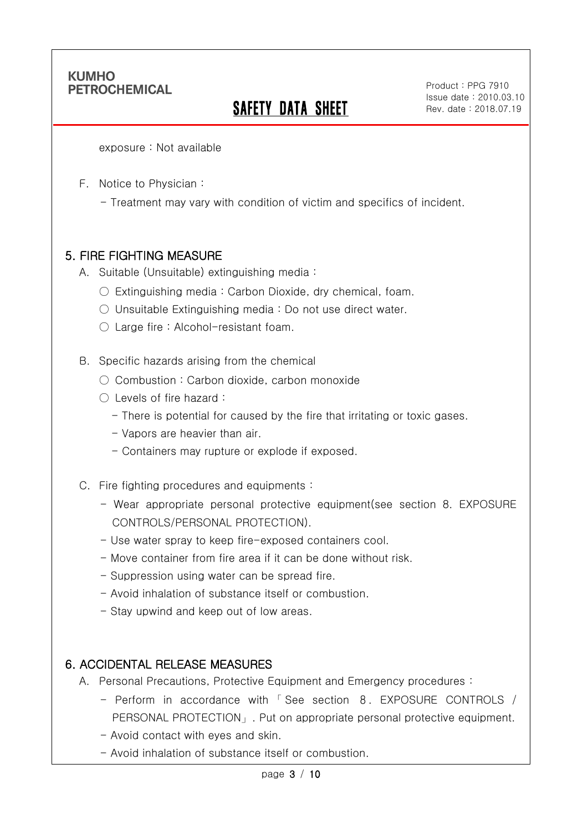Ī

# SAFETY DATA SHEET

Product : PPG 7910 Issue date : 2010.03.10 Rev. date : 2018.07.19

.

exposure : Not available

F. Notice to Physician :

- Treatment may vary with condition of victim and specifics of incident.

### 5. FIRE FIGHTING MEASURE

- A. Suitable (Unsuitable) extinguishing media :
	- $\circ$  Extinguishing media : Carbon Dioxide, dry chemical, foam.
	- Unsuitable Extinguishing media : Do not use direct water.
	- Large fire : Alcohol-resistant foam.

B. Specific hazards arising from the chemical

- Combustion: Carbon dioxide, carbon monoxide
- Levels of fire hazard :
	- There is potential for caused by the fire that irritating or toxic gases.
	- Vapors are heavier than air.
	- Containers may rupture or explode if exposed.
- C. Fire fighting procedures and equipments :
	- Wear appropriate personal protective equipment(see section 8. EXPOSURE CONTROLS/PERSONAL PROTECTION).
	- Use water spray to keep fire-exposed containers cool.
	- Move container from fire area if it can be done without risk.
	- Suppression using water can be spread fire.
	- Avoid inhalation of substance itself or combustion.
	- Stay upwind and keep out of low areas.

### 6. ACCIDENTAL RELEASE MEASURES

- A. Personal Precautions, Protective Equipment and Emergency procedures :
	- Perform in accordance with 「 See section 8. EXPOSURE CONTROLS / PERSONAL PROTECTION」. Put on appropriate personal protective equipment.
	- Avoid contact with eyes and skin.
	- Avoid inhalation of substance itself or combustion.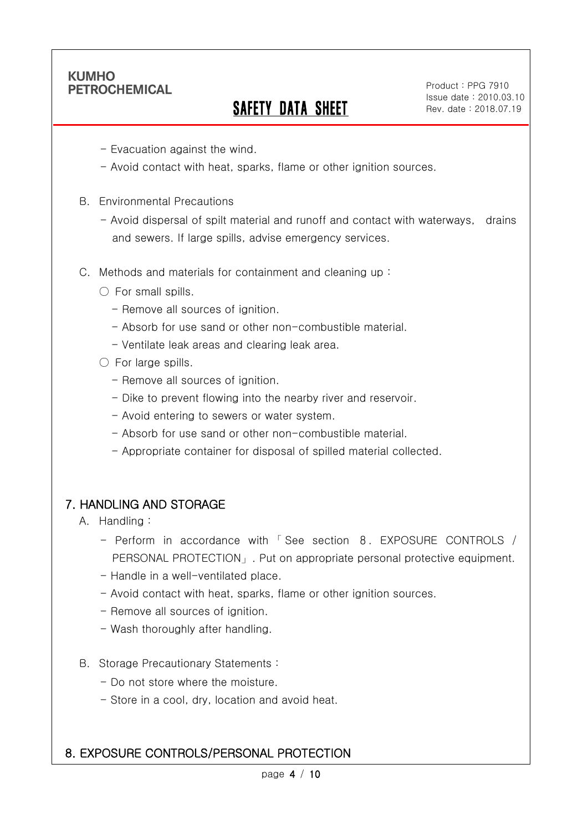Ī

# SAFETY DATA SHEET

Product : PPG 7910 Issue date : 2010.03.10 Rev. date : 2018.07.19

.

- Evacuation against the wind.
- Avoid contact with heat, sparks, flame or other ignition sources.
- B. Environmental Precautions
	- Avoid dispersal of spilt material and runoff and contact with waterways, drains and sewers. If large spills, advise emergency services.
- C. Methods and materials for containment and cleaning up :
	- $\bigcirc$  For small spills.
		- Remove all sources of ignition.
		- Absorb for use sand or other non-combustible material.
		- Ventilate leak areas and clearing leak area.
	- For large spills.
		- Remove all sources of ignition.
		- Dike to prevent flowing into the nearby river and reservoir.
		- Avoid entering to sewers or water system.
		- Absorb for use sand or other non-combustible material.
		- Appropriate container for disposal of spilled material collected.

### 7. HANDLING AND STORAGE

- A. Handling :
	- Perform in accordance with 「 See section 8. EXPOSURE CONTROLS / PERSONAL PROTECTION」. Put on appropriate personal protective equipment.
	- Handle in a well-ventilated place.
	- Avoid contact with heat, sparks, flame or other ignition sources.
	- Remove all sources of ignition.
	- Wash thoroughly after handling.
- B. Storage Precautionary Statements :
	- Do not store where the moisture.
	- Store in a cool, dry, location and avoid heat.

### 8. EXPOSURE CONTROLS/PERSONAL PROTECTION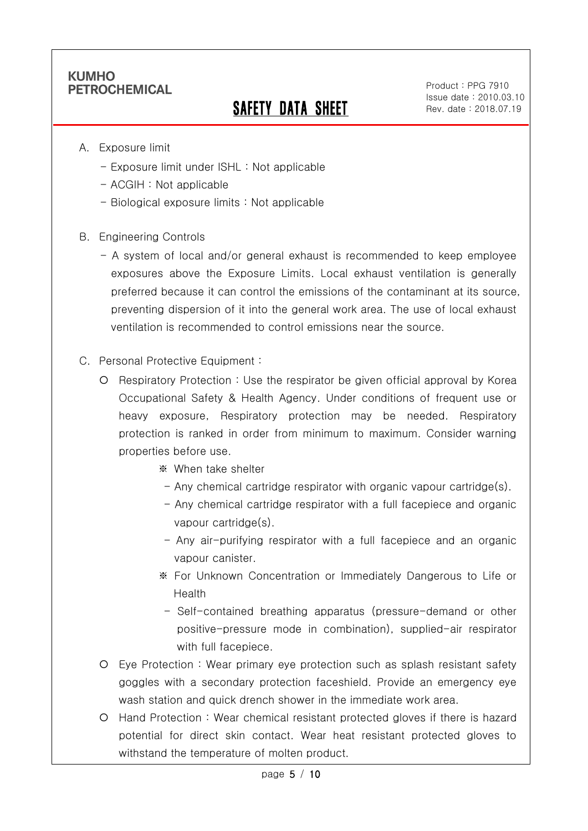Ī

# SAFETY DATA SHEET

Product : PPG 7910 Issue date : 2010.03.10 Rev. date : 2018.07.19

.

- A. Exposure limit
	- Exposure limit under ISHL : Not applicable
	- ACGIH : Not applicable
	- Biological exposure limits : Not applicable
- B. Engineering Controls
	- A system of local and/or general exhaust is recommended to keep employee exposures above the Exposure Limits. Local exhaust ventilation is generally preferred because it can control the emissions of the contaminant at its source, preventing dispersion of it into the general work area. The use of local exhaust ventilation is recommended to control emissions near the source.
- C. Personal Protective Equipment :
	- Respiratory Protection : Use the respirator be given official approval by Korea Occupational Safety & Health Agency. Under conditions of frequent use or heavy exposure, Respiratory protection may be needed. Respiratory protection is ranked in order from minimum to maximum. Consider warning properties before use.
		- ※ When take shelter
		- $-$  Any chemical cartridge respirator with organic vapour cartridge(s).
		- Any chemical cartridge respirator with a full facepiece and organic vapour cartridge(s).
		- Any air-purifying respirator with a full facepiece and an organic vapour canister.
		- ※ For Unknown Concentration or Immediately Dangerous to Life or Health
		- Self-contained breathing apparatus (pressure-demand or other positive-pressure mode in combination), supplied-air respirator with full facepiece.
	- Eye Protection : Wear primary eye protection such as splash resistant safety goggles with a secondary protection faceshield. Provide an emergency eye wash station and quick drench shower in the immediate work area.
	- Hand Protection : Wear chemical resistant protected gloves if there is hazard potential for direct skin contact. Wear heat resistant protected gloves to withstand the temperature of molten product.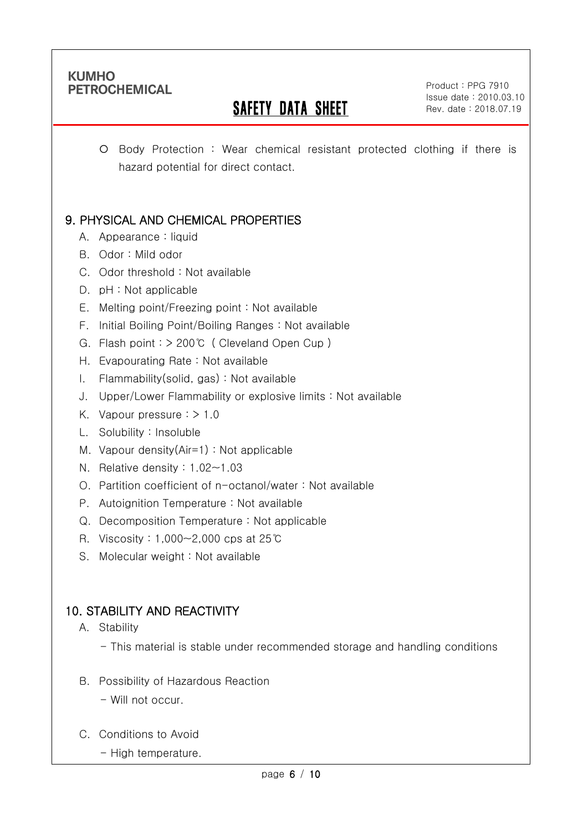Ī

# SAFETY DATA SHEET

Product : PPG 7910 Issue date : 2010.03.10 Rev. date : 2018.07.19

.

 Body Protection : Wear chemical resistant protected clothing if there is hazard potential for direct contact.

# 9. PHYSICAL AND CHEMICAL PROPERTIES

- A. Appearance : liquid
- B. Odor : Mild odor
- C. Odor threshold : Not available
- D. pH : Not applicable
- E. Melting point/Freezing point : Not available
- F. Initial Boiling Point/Boiling Ranges : Not available
- G. Flash point : > 200℃ ( Cleveland Open Cup )
- H. Evapourating Rate : Not available
- I. Flammability(solid, gas) : Not available
- J. Upper/Lower Flammability or explosive limits : Not available
- K. Vapour pressure  $:$  > 1.0
- L. Solubility : Insoluble
- M. Vapour density(Air=1) : Not applicable
- N. Relative density : 1.02~1.03
- O. Partition coefficient of n-octanol/water : Not available
- P. Autoignition Temperature : Not available
- Q. Decomposition Temperature : Not applicable
- R. Viscosity : 1,000~2,000 cps at 25℃
- S. Molecular weight: Not available

# 10. STABILITY AND REACTIVITY

- A. Stability
	- This material is stable under recommended storage and handling conditions
- B. Possibility of Hazardous Reaction
	- Will not occur.
- C. Conditions to Avoid
	- High temperature.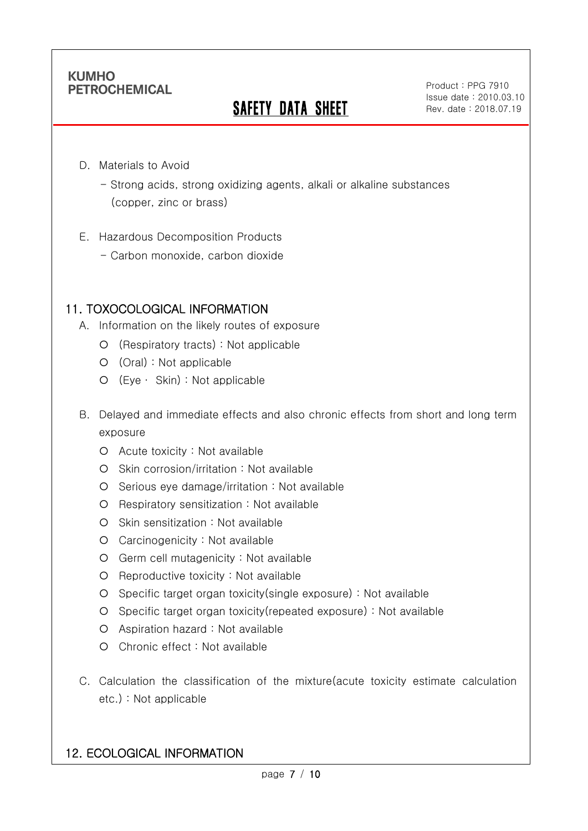Ī

# **SAFETY DATA SHEET**

Product : PPG 7910 Issue date : 2010.03.10 Rev. date : 2018.07.19

.

- D. Materials to Avoid
	- Strong acids, strong oxidizing agents, alkali or alkaline substances (copper, zinc or brass)
- E. Hazardous Decomposition Products
	- Carbon monoxide, carbon dioxide

## 11. TOXOCOLOGICAL INFORMATION

- A. Information on the likely routes of exposure
	- (Respiratory tracts) : Not applicable
	- (Oral) : Not applicable
	- (Eye ∙ Skin) : Not applicable
- B. Delayed and immediate effects and also chronic effects from short and long term exposure
	- Acute toxicity : Not available
	- O Skin corrosion/irritation : Not available
	- O Serious eye damage/irritation : Not available
	- O Respiratory sensitization : Not available
	- O Skin sensitization : Not available
	- Carcinogenicity : Not available
	- Germ cell mutagenicity : Not available
	- O Reproductive toxicity : Not available
	- Specific target organ toxicity(single exposure) : Not available
	- Specific target organ toxicity(repeated exposure) : Not available
	- Aspiration hazard : Not available
	- Chronic effect : Not available
- C. Calculation the classification of the mixture(acute toxicity estimate calculation etc.) : Not applicable

### 12. ECOLOGICAL INFORMATION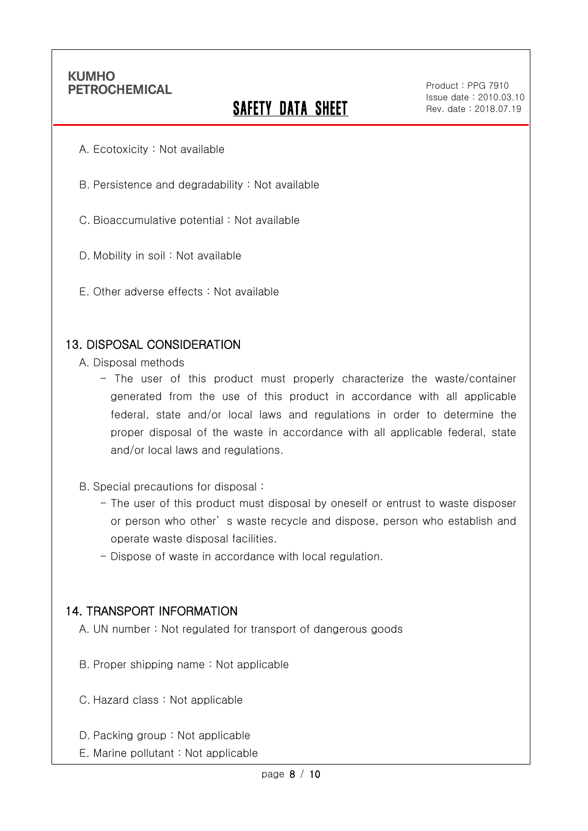Ī

# **SAFETY DATA SHEET**

Product : PPG 7910 Issue date : 2010.03.10 Rev. date : 2018.07.19

.

- A. Ecotoxicity : Not available
- B. Persistence and degradability : Not available
- C. Bioaccumulative potential : Not available
- D. Mobility in soil : Not available
- E. Other adverse effects : Not available

#### 13. DISPOSAL CONSIDERATION

- A. Disposal methods
	- The user of this product must properly characterize the waste/container generated from the use of this product in accordance with all applicable federal, state and/or local laws and regulations in order to determine the proper disposal of the waste in accordance with all applicable federal, state and/or local laws and regulations.
- B. Special precautions for disposal :
	- The user of this product must disposal by oneself or entrust to waste disposer or person who other' s waste recycle and dispose, person who establish and operate waste disposal facilities.
	- Dispose of waste in accordance with local regulation.

#### 14. TRANSPORT INFORMATION

- A. UN number : Not regulated for transport of dangerous goods
- B. Proper shipping name : Not applicable
- C. Hazard class : Not applicable
- D. Packing group : Not applicable
- E. Marine pollutant : Not applicable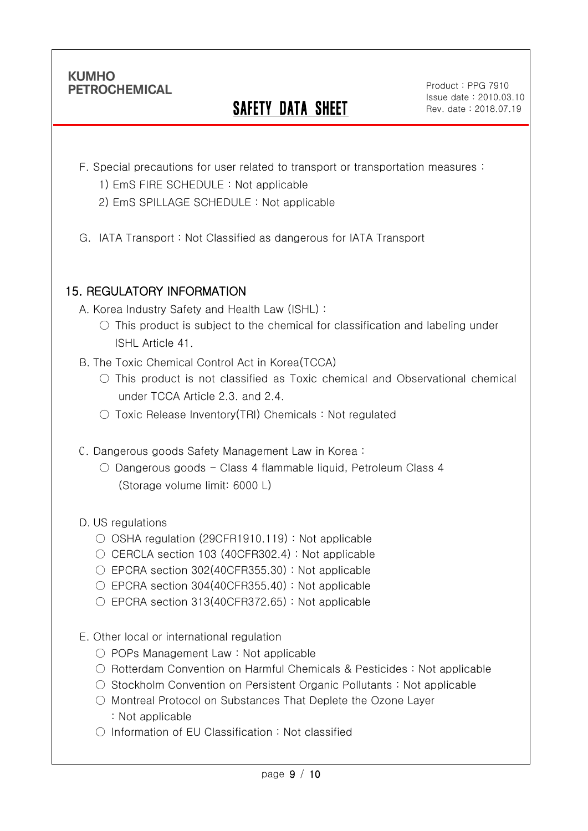Ī

# SAFETY DATA SHEET

Product : PPG 7910 Issue date : 2010.03.10 Rev. date : 2018.07.19

.

- F. Special precautions for user related to transport or transportation measures :
	- 1) EmS FIRE SCHEDULE : Not applicable
	- 2) EmS SPILLAGE SCHEDULE : Not applicable
- G. IATA Transport : Not Classified as dangerous for IATA Transport

# 15. REGULATORY INFORMATION

A. Korea Industry Safety and Health Law (ISHL) :

- $\circ$  This product is subject to the chemical for classification and labeling under ISHL Article 41.
- B. The Toxic Chemical Control Act in Korea(TCCA)
	- This product is not classified as Toxic chemical and Observational chemical under TCCA Article 2.3. and 2.4.
	- Toxic Release Inventory(TRI) Chemicals : Not regulated
- C. Dangerous goods Safety Management Law in Korea :
	- $\circ$  Dangerous goods Class 4 flammable liquid, Petroleum Class 4 (Storage volume limit: 6000 L)

D. US regulations

- OSHA regulation (29CFR1910.119) : Not applicable
- $\circ$  CERCLA section 103 (40CFR302.4) : Not applicable
- EPCRA section 302(40CFR355.30): Not applicable
- $\circ$  EPCRA section 304(40CFR355.40) : Not applicable
- EPCRA section 313(40CFR372.65): Not applicable
- E. Other local or international regulation
	- POPs Management Law : Not applicable
	- Rotterdam Convention on Harmful Chemicals & Pesticides : Not applicable
	- Stockholm Convention on Persistent Organic Pollutants : Not applicable
	- Montreal Protocol on Substances That Deplete the Ozone Layer : Not applicable
	- Information of EU Classification : Not classified